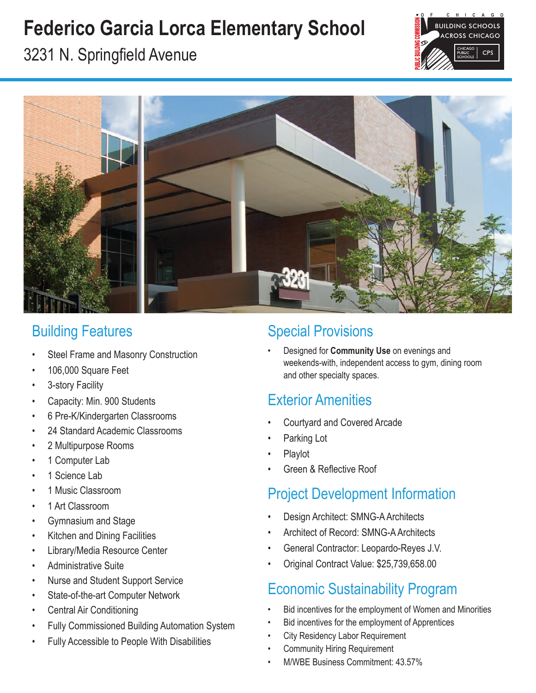# **Federico Garcia Lorca Elementary School**



3231 N. Springfield Avenue



### Building Features

- Steel Frame and Masonry Construction
- 106,000 Square Feet
- 3-story Facility
- Capacity: Min. 900 Students
- 6 Pre-K/Kindergarten Classrooms
- 24 Standard Academic Classrooms
- 2 Multipurpose Rooms
- 1 Computer Lab
- 1 Science Lab
- 1 Music Classroom
- 1 Art Classroom
- Gymnasium and Stage
- Kitchen and Dining Facilities
- Library/Media Resource Center
- Administrative Suite
- Nurse and Student Support Service
- State-of-the-art Computer Network
- Central Air Conditioning
- Fully Commissioned Building Automation System
- Fully Accessible to People With Disabilities

### Special Provisions

• Designed for **Community Use** on evenings and weekends-with, independent access to gym, dining room and other specialty spaces.

### Exterior Amenities

- Courtyard and Covered Arcade
- Parking Lot
- Playlot
- Green & Reflective Roof

#### Project Development Information

- Design Architect: SMNG-A Architects
- Architect of Record: SMNG-A Architects
- General Contractor: Leopardo-Reyes J.V.
- Original Contract Value: \$25,739,658.00

### Economic Sustainability Program

- Bid incentives for the employment of Women and Minorities
- Bid incentives for the employment of Apprentices
- **City Residency Labor Requirement**
- Community Hiring Requirement
- M/WBE Business Commitment: 43.57%